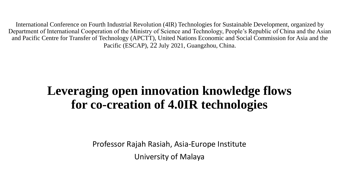International Conference on Fourth Industrial Revolution (4IR) Technologies for Sustainable Development, organized by Department of International Cooperation of the Ministry of Science and Technology, People's Republic of China and the Asian and Pacific Centre for Transfer of Technology (APCTT), United Nations Economic and Social Commission for Asia and the Pacific (ESCAP), 22 July 2021, Guangzhou, China.

# **Leveraging open innovation knowledge flows for co-creation of 4.0IR technologies**

Professor Rajah Rasiah, Asia-Europe Institute University of Malaya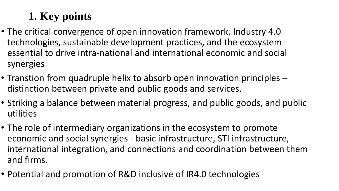# **1. Key points**

- The critical convergence of open innovation framework, Industry 4.0 technologies, sustainable development practices, and the ecosystem essential to drive intra-national and international economic and social synergies
- Transtion from quadruple helix to absorb open innovation principles distinction between private and public goods and services.
- Striking a balance between material progress, and public goods, and public utilities
- The role of intermediary organizations in the ecosystem to promote economic and social synergies - basic infrastructure, STI infrastructure, international integration, and connections and coordination between them and firms.
- Potential and promotion of R&D inclusive of IR4.0 technologies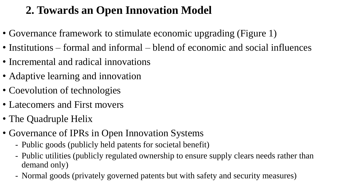### **2. Towards an Open Innovation Model**

- Governance framework to stimulate economic upgrading (Figure 1)
- Institutions formal and informal blend of economic and social influences
- Incremental and radical innovations
- Adaptive learning and innovation
- Coevolution of technologies
- Latecomers and First movers
- The Quadruple Helix
- Governance of IPRs in Open Innovation Systems
	- Public goods (publicly held patents for societal benefit)
	- Public utilities (publicly regulated ownership to ensure supply clears needs rather than demand only)
	- Normal goods (privately governed patents but with safety and security measures)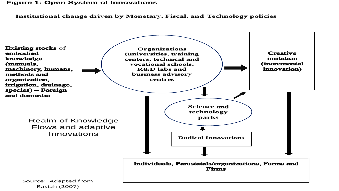#### **Figure 1: Open System of Innovations**

**Institutional change driven by Monetary, Fiscal, and Technology policies**

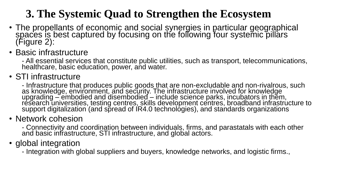## **3. The Systemic Quad to Strengthen the Ecosystem**

- The propellants of economic and social synergies in particular geographical spaces is best captured by focusing on the following four systemic pillars (Figure 2):
- Basic infrastructure

- All essential services that constitute public utilities, such as transport, telecommunications, healthcare, basic education, power, and water.

#### • STI infrastructure

- Infrastructure that produces public goods that are non-excludable and non-rivalrous, such as knowledge, environment, and security. The infrastructure involved for knowledge upgrading – embodied and disembodied – include science parks, incubators in them, research universities, testing centres, skills development centres, broadband infrastructure to support digitalization (and sp̃read of ÍR4.0 technolȯ̀gies), and standards organizations

#### • Network cohesion

- Connectivity and coordination between individuals, firms, and parastatals with each other and basic infrastructure, STI infrastructure, and global actors.

### • global integration

- Integration with global suppliers and buyers, knowledge networks, and logistic firms.,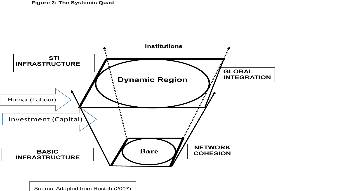

Source: Adapted from Rasiah (2007)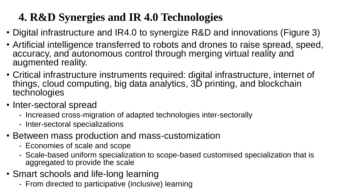# **4. R&D Synergies and IR 4.0 Technologies**

- Digital infrastructure and IR4.0 to synergize R&D and innovations (Figure 3)
- Artificial intelligence transferred to robots and drones to raise spread, speed, accuracy, and autonomous control through merging virtual reality and augmented reality.
- Critical infrastructure instruments required: digital infrastructure, internet of things, cloud computing, big data analytics, 3D printing, and blockchain technologies
- Inter-sectoral spread
	- Increased cross-migration of adapted technologies inter-sectorally
	- Inter-sectoral specializations
- Between mass production and mass-customization
	- Economies of scale and scope
	- Scale-based uniform specialization to scope-based customised specialization that is aggregated to provide the scale
- Smart schools and life-long learning
	- From directed to participative (inclusive) learning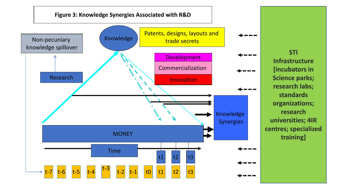

**STI Infrastructure [incubators in Science parks; research labs; standards organizations; research universities; 4IR centres; specialized training]**